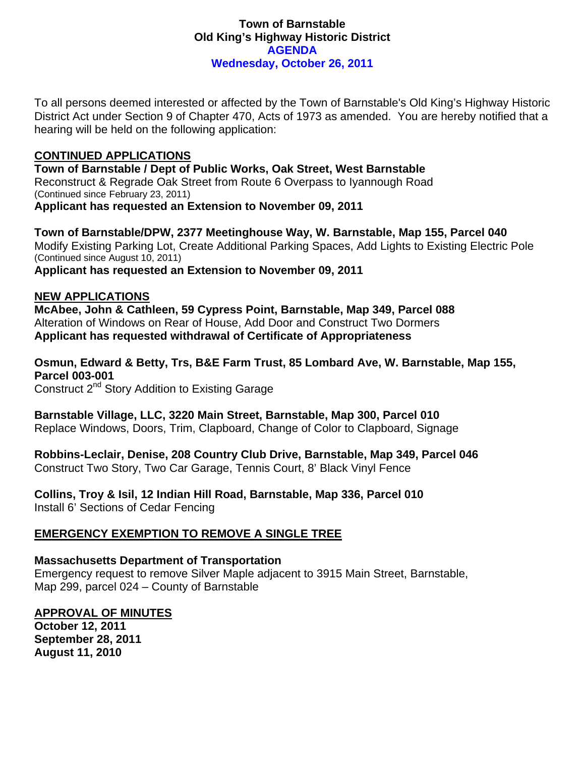## **Town of Barnstable Old King's Highway Historic District AGENDA Wednesday, October 26, 2011**

To all persons deemed interested or affected by the Town of Barnstable's Old King's Highway Historic District Act under Section 9 of Chapter 470, Acts of 1973 as amended. You are hereby notified that a hearing will be held on the following application:

## **CONTINUED APPLICATIONS**

**Town of Barnstable / Dept of Public Works, Oak Street, West Barnstable**  Reconstruct & Regrade Oak Street from Route 6 Overpass to Iyannough Road (Continued since February 23, 2011) **Applicant has requested an Extension to November 09, 2011** 

**Town of Barnstable/DPW, 2377 Meetinghouse Way, W. Barnstable, Map 155, Parcel 040**  Modify Existing Parking Lot, Create Additional Parking Spaces, Add Lights to Existing Electric Pole (Continued since August 10, 2011) **Applicant has requested an Extension to November 09, 2011** 

# **NEW APPLICATIONS**

**McAbee, John & Cathleen, 59 Cypress Point, Barnstable, Map 349, Parcel 088**  Alteration of Windows on Rear of House, Add Door and Construct Two Dormers **Applicant has requested withdrawal of Certificate of Appropriateness** 

**Osmun, Edward & Betty, Trs, B&E Farm Trust, 85 Lombard Ave, W. Barnstable, Map 155, Parcel 003-001**  Construct 2<sup>nd</sup> Story Addition to Existing Garage

**Barnstable Village, LLC, 3220 Main Street, Barnstable, Map 300, Parcel 010**  Replace Windows, Doors, Trim, Clapboard, Change of Color to Clapboard, Signage

**Robbins-Leclair, Denise, 208 Country Club Drive, Barnstable, Map 349, Parcel 046**  Construct Two Story, Two Car Garage, Tennis Court, 8' Black Vinyl Fence

**Collins, Troy & Isil, 12 Indian Hill Road, Barnstable, Map 336, Parcel 010**  Install 6' Sections of Cedar Fencing

# **EMERGENCY EXEMPTION TO REMOVE A SINGLE TREE**

### **Massachusetts Department of Transportation**

Emergency request to remove Silver Maple adjacent to 3915 Main Street, Barnstable, Map 299, parcel 024 – County of Barnstable

### **APPROVAL OF MINUTES**

**October 12, 2011 September 28, 2011 August 11, 2010**